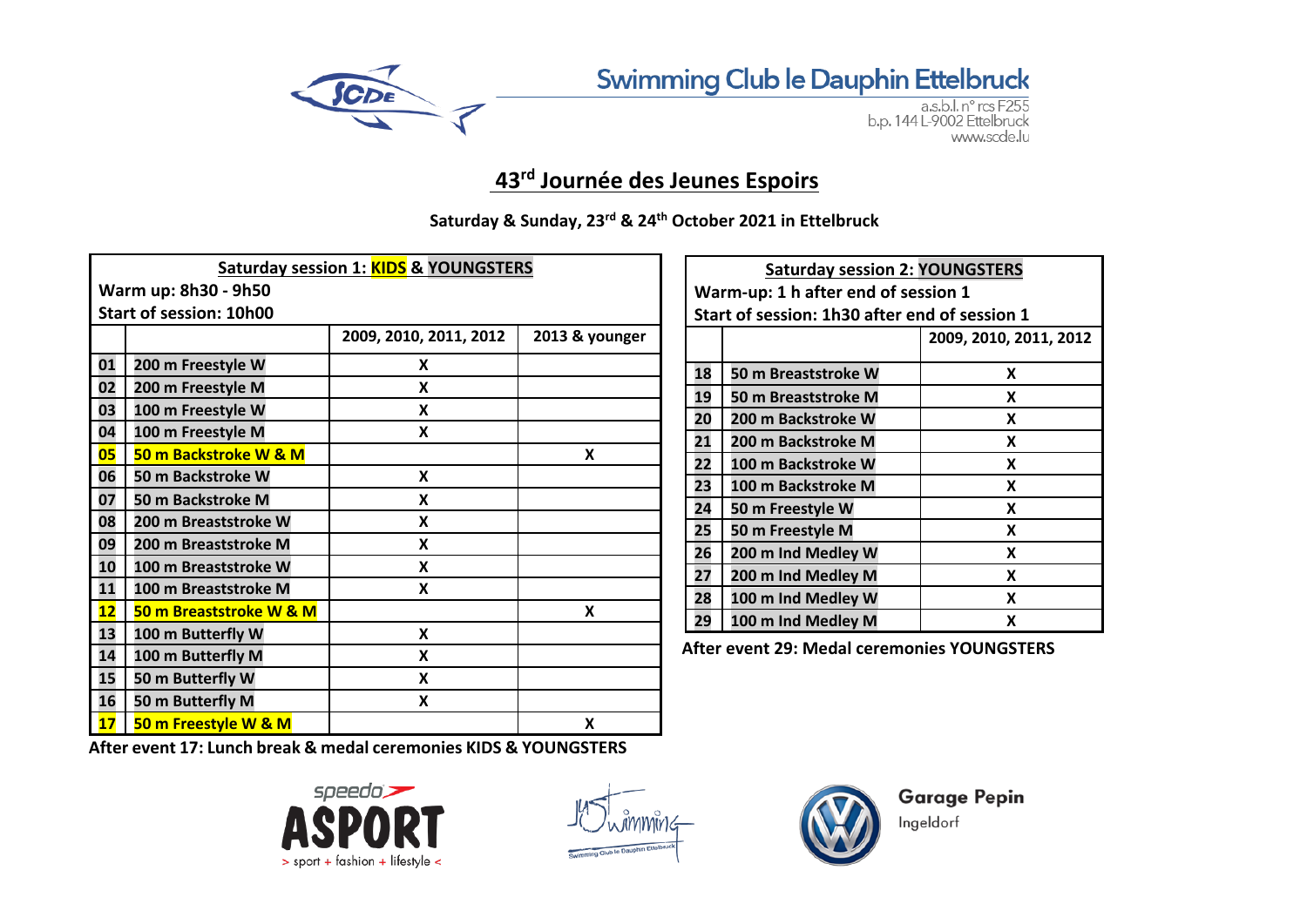

Swimming Club le Dauphin Ettelbruck

a.s.b.l. nº rcs F255 b.p. 144 L-9002 Ettelbruck www.scde.lu

## **43rd Journée des Jeunes Espoirs**

**Saturday & Sunday, 23rd & 24th October 2021 in Ettelbruck**

| Saturday session 1: <b>KIDS &amp; YOUNGSTERS</b> |                         |                        |                |  |  |
|--------------------------------------------------|-------------------------|------------------------|----------------|--|--|
| Warm up: 8h30 - 9h50                             |                         |                        |                |  |  |
| <b>Start of session: 10h00</b>                   |                         |                        |                |  |  |
|                                                  |                         | 2009, 2010, 2011, 2012 | 2013 & younger |  |  |
| 01                                               | 200 m Freestyle W       | X                      |                |  |  |
| 02                                               | 200 m Freestyle M       | X                      |                |  |  |
| 03                                               | 100 m Freestyle W       | X                      |                |  |  |
| 04                                               | 100 m Freestyle M       | X                      |                |  |  |
| 05                                               | 50 m Backstroke W & M   |                        | X              |  |  |
| 06                                               | 50 m Backstroke W       | X                      |                |  |  |
| 07                                               | 50 m Backstroke M       | X                      |                |  |  |
| 08                                               | 200 m Breaststroke W    | X                      |                |  |  |
| 09                                               | 200 m Breaststroke M    | X                      |                |  |  |
| 10                                               | 100 m Breaststroke W    | X                      |                |  |  |
| 11                                               | 100 m Breaststroke M    | X                      |                |  |  |
| 12                                               | 50 m Breaststroke W & M |                        | X              |  |  |
| 13                                               | 100 m Butterfly W       | X                      |                |  |  |
| 14                                               | 100 m Butterfly M       | X                      |                |  |  |
| 15                                               | 50 m Butterfly W        | X                      |                |  |  |
| 16                                               | 50 m Butterfly M        | X                      |                |  |  |
| 17                                               | 50 m Freestyle W & M    |                        | x              |  |  |

| <b>Saturday session 2: YOUNGSTERS</b>         |                                     |                        |  |  |  |  |
|-----------------------------------------------|-------------------------------------|------------------------|--|--|--|--|
|                                               | Warm-up: 1 h after end of session 1 |                        |  |  |  |  |
| Start of session: 1h30 after end of session 1 |                                     |                        |  |  |  |  |
|                                               |                                     | 2009, 2010, 2011, 2012 |  |  |  |  |
| 18                                            |                                     | x                      |  |  |  |  |
|                                               | 50 m Breaststroke W                 |                        |  |  |  |  |
| 19                                            | 50 m Breaststroke M                 | X                      |  |  |  |  |
| 20                                            | 200 m Backstroke W                  | x                      |  |  |  |  |
| 21                                            | 200 m Backstroke M                  | X                      |  |  |  |  |
| 22                                            | 100 m Backstroke W                  | X                      |  |  |  |  |
| 23                                            | 100 m Backstroke M                  | x                      |  |  |  |  |
| 24                                            | 50 m Freestyle W                    | x                      |  |  |  |  |
| 25                                            | 50 m Freestyle M                    | X                      |  |  |  |  |
| 26                                            | 200 m Ind Medley W                  | x                      |  |  |  |  |
| 27                                            | 200 m Ind Medley M                  | x                      |  |  |  |  |
| 28                                            | 100 m Ind Medley W                  | x                      |  |  |  |  |
| 29                                            | 100 m Ind Medley M                  | X                      |  |  |  |  |

**After event 29: Medal ceremonies YOUNGSTERS**

**After event 17: Lunch break & medal ceremonies KIDS & YOUNGSTERS**







**Garage Pepin** Ingeldorf